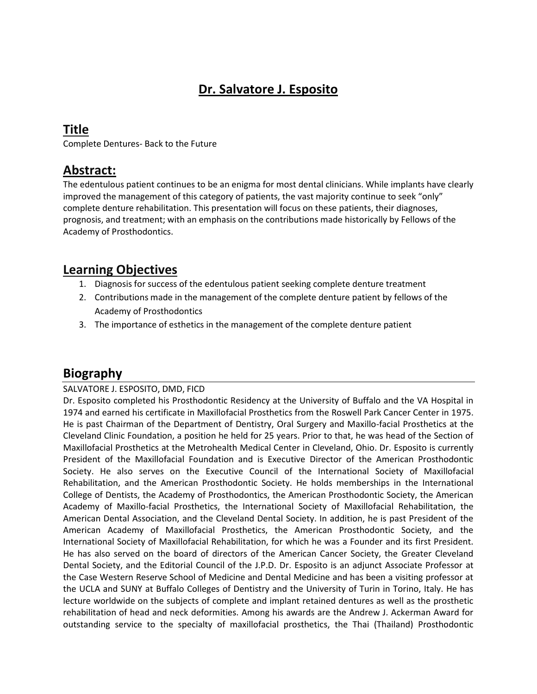# **Dr. Salvatore J. Esposito**

### **Title**

Complete Dentures- Back to the Future

#### **Abstract:**

The edentulous patient continues to be an enigma for most dental clinicians. While implants have clearly improved the management of this category of patients, the vast majority continue to seek "only" complete denture rehabilitation. This presentation will focus on these patients, their diagnoses, prognosis, and treatment; with an emphasis on the contributions made historically by Fellows of the Academy of Prosthodontics.

#### **Learning Objectives**

- 1. Diagnosis for success of the edentulous patient seeking complete denture treatment
- 2. Contributions made in the management of the complete denture patient by fellows of the Academy of Prosthodontics
- 3. The importance of esthetics in the management of the complete denture patient

## **Biography**

#### SALVATORE J. ESPOSITO, DMD, FICD

Dr. Esposito completed his Prosthodontic Residency at the University of Buffalo and the VA Hospital in 1974 and earned his certificate in Maxillofacial Prosthetics from the Roswell Park Cancer Center in 1975. He is past Chairman of the Department of Dentistry, Oral Surgery and Maxillo-facial Prosthetics at the Cleveland Clinic Foundation, a position he held for 25 years. Prior to that, he was head of the Section of Maxillofacial Prosthetics at the Metrohealth Medical Center in Cleveland, Ohio. Dr. Esposito is currently President of the Maxillofacial Foundation and is Executive Director of the American Prosthodontic Society. He also serves on the Executive Council of the International Society of Maxillofacial Rehabilitation, and the American Prosthodontic Society. He holds memberships in the International College of Dentists, the Academy of Prosthodontics, the American Prosthodontic Society, the American Academy of Maxillo-facial Prosthetics, the International Society of Maxillofacial Rehabilitation, the American Dental Association, and the Cleveland Dental Society. In addition, he is past President of the American Academy of Maxillofacial Prosthetics, the American Prosthodontic Society, and the International Society of Maxillofacial Rehabilitation, for which he was a Founder and its first President. He has also served on the board of directors of the American Cancer Society, the Greater Cleveland Dental Society, and the Editorial Council of the J.P.D. Dr. Esposito is an adjunct Associate Professor at the Case Western Reserve School of Medicine and Dental Medicine and has been a visiting professor at the UCLA and SUNY at Buffalo Colleges of Dentistry and the University of Turin in Torino, Italy. He has lecture worldwide on the subjects of complete and implant retained dentures as well as the prosthetic rehabilitation of head and neck deformities. Among his awards are the Andrew J. Ackerman Award for outstanding service to the specialty of maxillofacial prosthetics, the Thai (Thailand) Prosthodontic